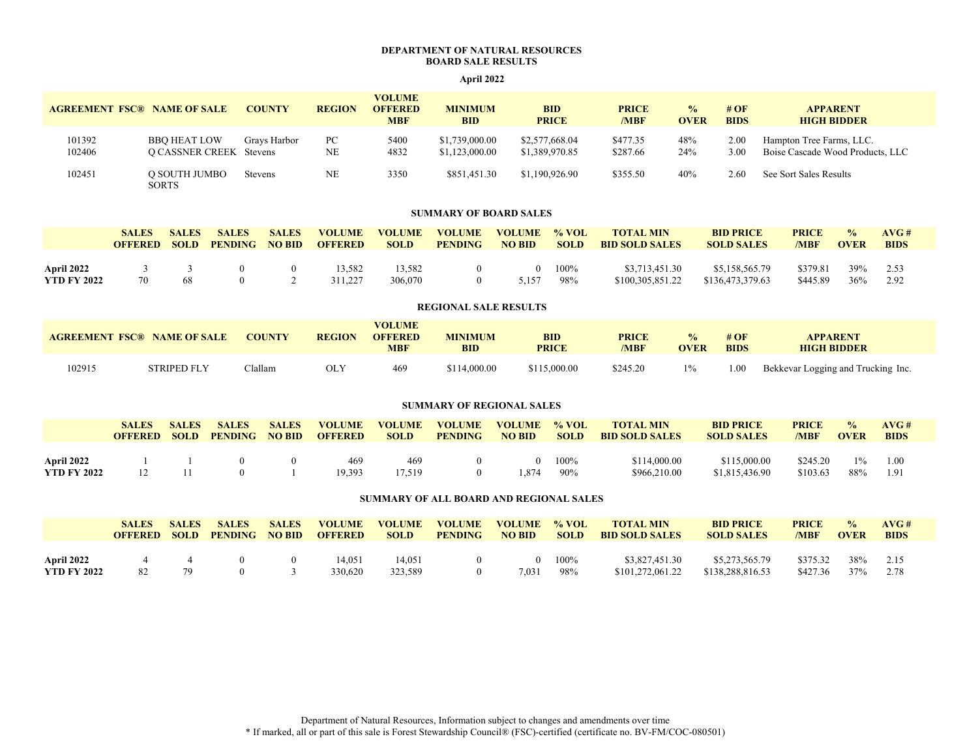## **DEPARTMENT OF NATURAL RESOURCES BOARD SALE RESULTS**

# **April 2022**

| <b>AGREEMENT FSC® NAME OF SALE</b> |                                                | <b>COUNTY</b> | <b>REGION</b> | <b>VOLUME</b><br><b>OFFERED</b><br><b>MBF</b> | <b>MINIMUM</b><br><b>BID</b>     | <b>BID</b><br><b>PRICE</b>       | <b>PRICE</b><br>/MBF | $\frac{0}{0}$<br><b>OVER</b> | # $\overline{OF}$<br><b>BIDS</b> | <b>APPARENT</b><br><b>HIGH BIDDER</b>                        |
|------------------------------------|------------------------------------------------|---------------|---------------|-----------------------------------------------|----------------------------------|----------------------------------|----------------------|------------------------------|----------------------------------|--------------------------------------------------------------|
| 101392<br>102406                   | BBO HEAT LOW<br><b>Q CASSNER CREEK</b> Stevens | Gravs Harbor  | РC<br>NE      | 5400<br>4832                                  | \$1,739,000.00<br>\$1,123,000.00 | \$2,577,668.04<br>\$1,389,970.85 | \$477.35<br>\$287.66 | 48%<br>24%                   | $2.00\,$<br>3.00                 | Hampton Tree Farms, LLC.<br>Boise Cascade Wood Products, LLC |
| 102451                             | O SOUTH JUMBO<br><b>SORTS</b>                  | Stevens       | NΕ            | 3350                                          | \$851,451.30                     | \$1,190,926.90                   | \$355.50             | 40%                          | 2.60                             | See Sort Sales Results                                       |

### **SUMMARY OF BOARD SALES**

|                                         | <b>SALES</b>   | <b>SALES</b> | <b>SALES</b>   | <b>SALES</b>  | <b>VOLUME</b>     | <b>VOLUME</b>     | <b>VOLUME</b>  | <b>VOLUME</b> | $\%$ VOL    | <b>TOTAL MIN</b>                   | <b>BID PRICE</b>                   | <b>PRICE</b>         | $\frac{0}{2}$ | AVC#         |
|-----------------------------------------|----------------|--------------|----------------|---------------|-------------------|-------------------|----------------|---------------|-------------|------------------------------------|------------------------------------|----------------------|---------------|--------------|
|                                         | <b>OFFERED</b> | <b>SOLD</b>  | <b>PENDING</b> | <b>NO BID</b> | <b>OFFERED</b>    | <b>SOLD</b>       | <b>PENDING</b> | <b>NO BID</b> | <b>SOLD</b> | <b>BID SOLD SALES</b>              | <b>SOLD SALES</b>                  | /MBF                 | <b>OVER</b>   | <b>BIDS</b>  |
| <b>April 2022</b><br><b>YTD FY 2022</b> | 70             | 68           |                |               | 13.582<br>311.227 | 13.582<br>306,070 |                | 5.157         | 100%<br>98% | \$3,713,451.30<br>\$100,305,851.22 | \$5,158,565.79<br>\$136,473,379.63 | \$379.81<br>\$445.89 | 39%<br>36%    | 2.53<br>2.92 |

#### **REGIONAL SALE RESULTS**

| <b>AGREEMENT FSC® NAME OF SALE</b> |                    | <b>COUNTY</b> | <b>REGION</b> | VOLUME<br><b>OFFERED</b><br>MBF | <b>MINIMUM</b><br><b>BID</b> | <b>BID</b><br><b>PRICE</b> | <b>PRICE</b><br>/MBF | $\frac{0}{0}$<br><b>OVER</b> | # $\overline{OF}$<br><b>BIDS</b> | <b>APPARENT</b><br><b>HIGH BIDDER</b> |
|------------------------------------|--------------------|---------------|---------------|---------------------------------|------------------------------|----------------------------|----------------------|------------------------------|----------------------------------|---------------------------------------|
| 102915                             | <b>STRIPED FLY</b> | `lallam       | <b>OLY</b>    | 469                             | \$114,000.00                 | \$115,000.00               | \$245.20             | $1\%$                        | 1.00                             | Bekkevar Logging and Trucking Inc.    |

#### **SUMMARY OF REGIONAL SALES**

|                    | <b>SALES</b><br><b>OFFERED</b> | <b>SALES</b><br><b>SOLD</b> | <b>SALES</b><br><b>PENDING</b> | <b>SALES</b><br><b>NO BID</b> | <b>VOLUME</b><br><b>OFFERED</b> | <b>VOLUME</b><br><b>SOLD</b> | <b>VOLUME</b><br><b>PENDING</b> | <b>VOLUME</b><br><b>NO BID</b> | $\%$ VOL<br><b>SOLD</b> | <b>TOTAL MIN</b><br><b>BID SOLD SALES</b> | <b>BID PRICE</b><br><b>SOLD SALES</b> | <b>PRICE</b><br>/MBF | $\frac{0}{2}$<br><b>OVER</b> | AVG#<br><b>BIDS</b> |
|--------------------|--------------------------------|-----------------------------|--------------------------------|-------------------------------|---------------------------------|------------------------------|---------------------------------|--------------------------------|-------------------------|-------------------------------------------|---------------------------------------|----------------------|------------------------------|---------------------|
| April 2022         |                                |                             |                                |                               | 469                             | 469                          |                                 | $^{\circ}$                     | 100%                    | \$114,000.00                              | \$115,000.00                          | \$245.20             | 10/2                         | 0.00                |
| <b>YTD FY 2022</b> |                                |                             |                                |                               | 19,393                          | 17,519                       |                                 | .874                           | 90%                     | \$966,210.00                              | \$1,815,436.90                        | \$103.63             | 88%                          | 1.91                |

#### **SUMMARY OF ALL BOARD AND REGIONAL SALES**

|                                  | <b>SALES</b>   | <b>SALES</b> | <b>SALES</b>   | <b>SALES</b>  | <b>VOLUME</b>     | <b>VOLUME</b>     | <b>VOLUME</b>  | <b>VOLUME</b> | $\%$ VOL    | <b>TOTAL MIN</b>                   | <b>BID PRICE</b>                   | <b>PRICE</b>         | $\frac{0}{2}$ | AVC#         |
|----------------------------------|----------------|--------------|----------------|---------------|-------------------|-------------------|----------------|---------------|-------------|------------------------------------|------------------------------------|----------------------|---------------|--------------|
|                                  | <b>OFFERED</b> | <b>SOLD</b>  | <b>PENDING</b> | <b>NO BID</b> | <b>OFFERED</b>    | <b>SOLD</b>       | <b>PENDING</b> | <b>NO BID</b> | <b>SOLD</b> | <b>BID SOLD SALES</b>              | <b>SOLD SALES</b>                  | /MBF                 | <b>OVER</b>   | <b>BIDS</b>  |
| April 2022<br><b>YTD FY 2022</b> | 82             |              | 0              |               | 14.051<br>330,620 | 14.051<br>323,589 |                | 7.031         | 100%<br>98% | \$3,827,451.30<br>\$101,272,061.22 | \$5,273,565.79<br>\$138,288,816.53 | \$375.32<br>\$427.36 | 38%<br>37%    | 2.15<br>2.78 |

Department of Natural Resources, Information subject to changes and amendments over time \* If marked, all or part of this sale is Forest Stewardship Council® (FSC)-certified (certificate no. BV-FM/COC-080501)